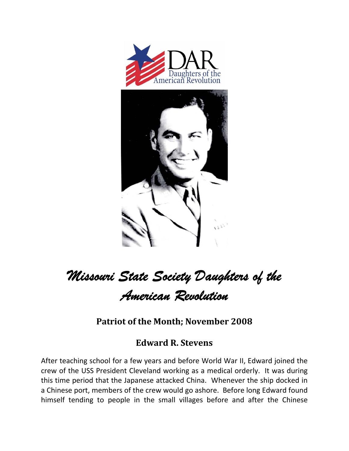

## *Missouri State Society Daughters of the American Revolution*

**Patriot of the Month; November 2008**

## **Edward R. Stevens**

After teaching school for a few years and before World War II, Edward joined the crew of the USS President Cleveland working as a medical orderly. It was during this time period that the Japanese attacked China. Whenever the ship docked in a Chinese port, members of the crew would go ashore. Before long Edward found himself tending to people in the small villages before and after the Chinese